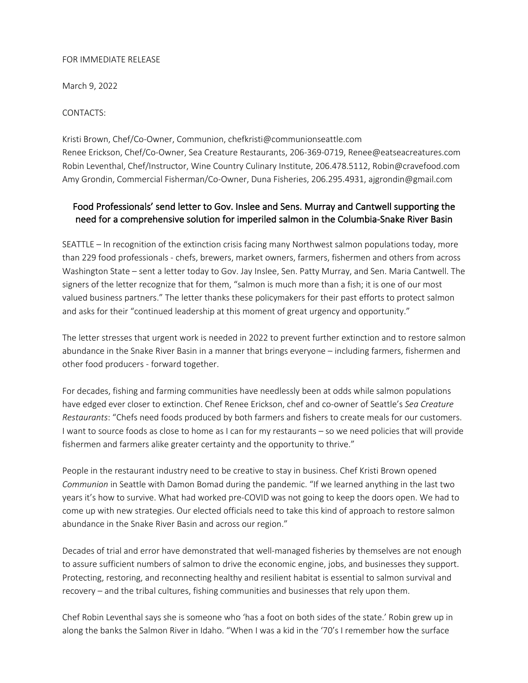## FOR IMMEDIATE RELEASE

March 9, 2022

CONTACTS:

Kristi Brown, Chef/Co-Owner, Communion, chefkristi@communionseattle.com Renee Erickson, Chef/Co-Owner, Sea Creature Restaurants, 206-369-0719, Renee@eatseacreatures.com Robin Leventhal, Chef/Instructor, Wine Country Culinary Institute, 206.478.5112, Robin@cravefood.com Amy Grondin, Commercial Fisherman/Co-Owner, Duna Fisheries, 206.295.4931, ajgrondin@gmail.com

## Food Professionals' send letter to Gov. Inslee and Sens. Murray and Cantwell supporting the need for a comprehensive solution for imperiled salmon in the Columbia-Snake River Basin

SEATTLE – In recognition of the extinction crisis facing many Northwest salmon populations today, more than 229 food professionals - chefs, brewers, market owners, farmers, fishermen and others from across Washington State – sent a letter today to Gov. Jay Inslee, Sen. Patty Murray, and Sen. Maria Cantwell. The signers of the letter recognize that for them, "salmon is much more than a fish; it is one of our most valued business partners." The letter thanks these policymakers for their past efforts to protect salmon and asks for their "continued leadership at this moment of great urgency and opportunity."

The letter stresses that urgent work is needed in 2022 to prevent further extinction and to restore salmon abundance in the Snake River Basin in a manner that brings everyone – including farmers, fishermen and other food producers - forward together.

For decades, fishing and farming communities have needlessly been at odds while salmon populations have edged ever closer to extinction. Chef Renee Erickson, chef and co-owner of Seattle's *Sea Creature Restaurants*: "Chefs need foods produced by both farmers and fishers to create meals for our customers. I want to source foods as close to home as I can for my restaurants – so we need policies that will provide fishermen and farmers alike greater certainty and the opportunity to thrive."

People in the restaurant industry need to be creative to stay in business. Chef Kristi Brown opened *Communion* in Seattle with Damon Bomad during the pandemic. "If we learned anything in the last two years it's how to survive. What had worked pre-COVID was not going to keep the doors open. We had to come up with new strategies. Our elected officials need to take this kind of approach to restore salmon abundance in the Snake River Basin and across our region."

Decades of trial and error have demonstrated that well-managed fisheries by themselves are not enough to assure sufficient numbers of salmon to drive the economic engine, jobs, and businesses they support. Protecting, restoring, and reconnecting healthy and resilient habitat is essential to salmon survival and recovery – and the tribal cultures, fishing communities and businesses that rely upon them.

Chef Robin Leventhal says she is someone who 'has a foot on both sides of the state.' Robin grew up in along the banks the Salmon River in Idaho. "When I was a kid in the '70's I remember how the surface